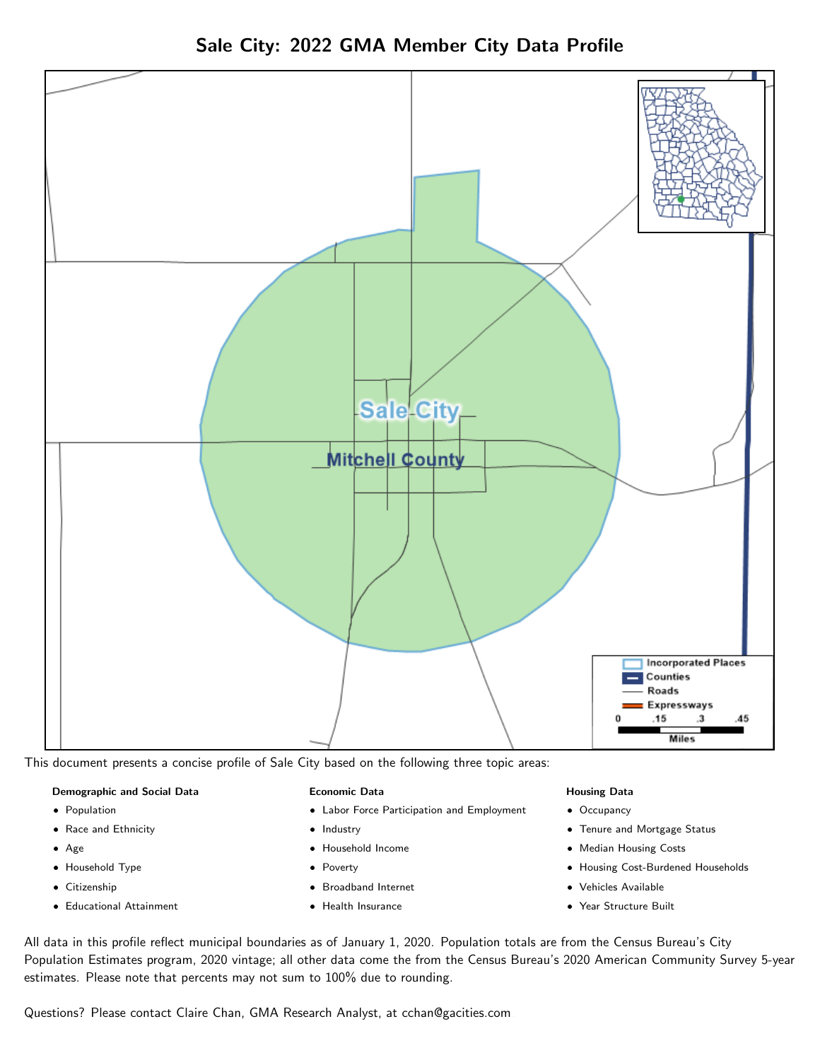

# Sale City: 2022 GMA Member City Data Profile

This document presents a concise profile of Sale City based on the following three topic areas:

## Demographic and Social Data

- **•** Population
- Race and Ethnicity
- Age
- Household Type
- **Citizenship**
- Educational Attainment

#### Economic Data

- Labor Force Participation and Employment
- Industry
- Household Income
- Poverty
- Broadband Internet
- Health Insurance

#### Housing Data

- Occupancy
- Tenure and Mortgage Status
- Median Housing Costs
- Housing Cost-Burdened Households

**Miles** 

- Vehicles Available
- Year Structure Built

All data in this profile reflect municipal boundaries as of January 1, 2020. Population totals are from the Census Bureau's City Population Estimates program, 2020 vintage; all other data come the from the Census Bureau's 2020 American Community Survey 5-year estimates. Please note that percents may not sum to 100% due to rounding.

Questions? Please contact Claire Chan, GMA Research Analyst, at [cchan@gacities.com.](mailto:cchan@gacities.com)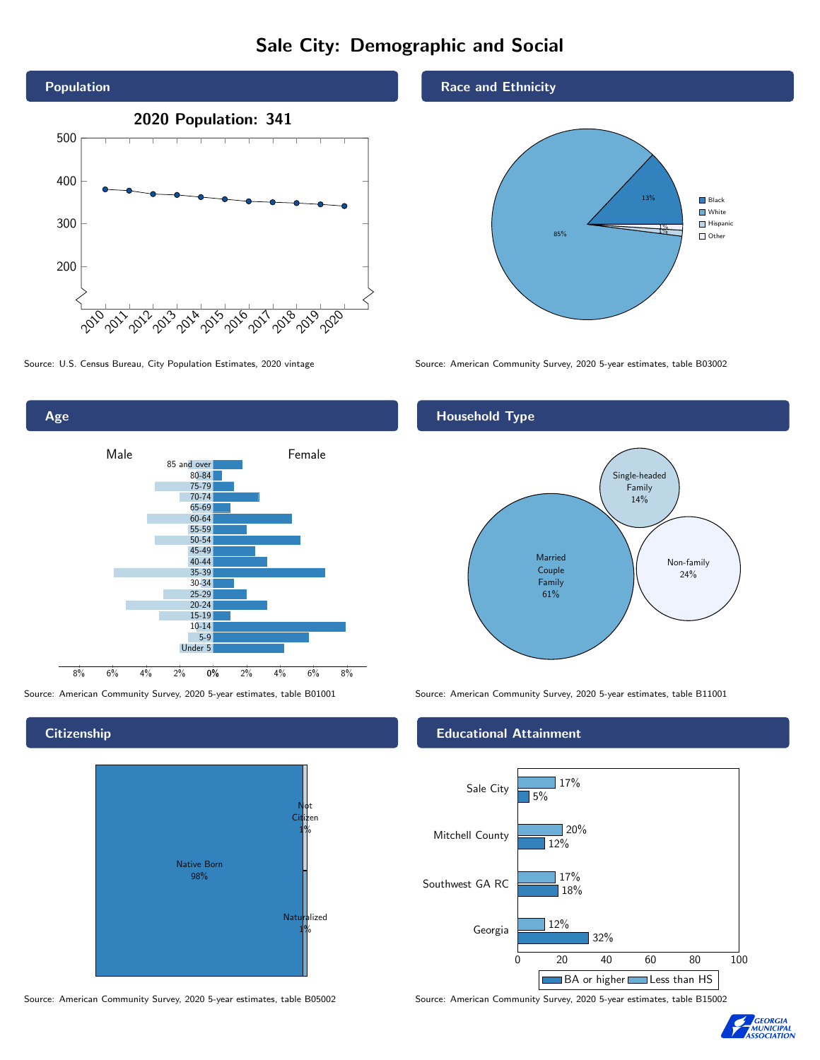# Sale City: Demographic and Social





#### **Citizenship**



Source: American Community Survey, 2020 5-year estimates, table B05002 Source: American Community Survey, 2020 5-year estimates, table B15002

#### Race and Ethnicity



Source: U.S. Census Bureau, City Population Estimates, 2020 vintage Source: American Community Survey, 2020 5-year estimates, table B03002

#### Household Type



Source: American Community Survey, 2020 5-year estimates, table B01001 Source: American Community Survey, 2020 5-year estimates, table B11001

#### Educational Attainment



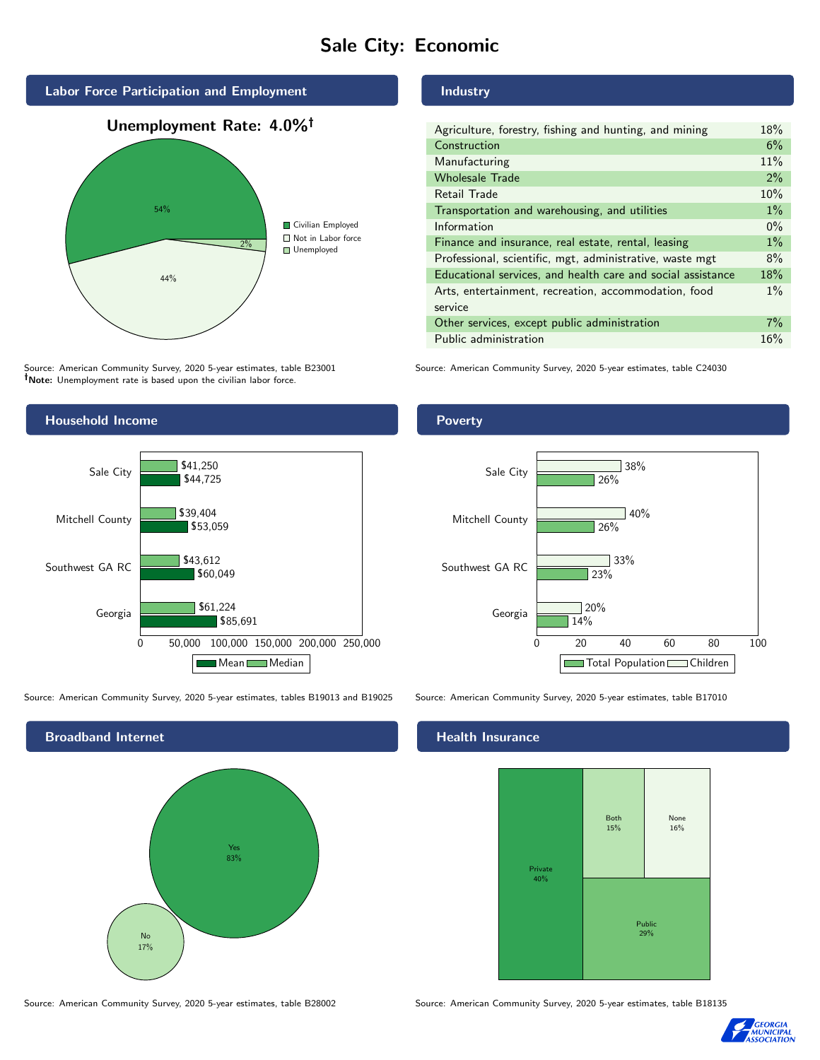# Sale City: Economic



Source: American Community Survey, 2020 5-year estimates, table B23001 Note: Unemployment rate is based upon the civilian labor force.

## Household Income 0 50,000 100,000 150,000 200,000 250,000 Georgia Southwest GA RC Mitchell County Sale City \$85,691 \$60,049 \$53,059 \$44,725 \$61,224 \$43,612 \$39,404 \$41,250 Mean Median

Source: American Community Survey, 2020 5-year estimates, tables B19013 and B19025 Source: American Community Survey, 2020 5-year estimates, table B17010

Broadband Internet No 17% Yes 83%

#### Source: American Community Survey, 2020 5-year estimates, table B28002 Source: American Community Survey, 2020 5-year estimates, table B18135

## Industry

| Agriculture, forestry, fishing and hunting, and mining      | 18%   |
|-------------------------------------------------------------|-------|
| Construction                                                | 6%    |
| Manufacturing                                               | 11%   |
| <b>Wholesale Trade</b>                                      | $2\%$ |
| Retail Trade                                                | 10%   |
| Transportation and warehousing, and utilities               | $1\%$ |
| Information                                                 | $0\%$ |
| Finance and insurance, real estate, rental, leasing         | $1\%$ |
| Professional, scientific, mgt, administrative, waste mgt    | 8%    |
| Educational services, and health care and social assistance | 18%   |
| Arts, entertainment, recreation, accommodation, food        | $1\%$ |
| service                                                     |       |
| Other services, except public administration                | 7%    |
| Public administration                                       | 16%   |

Source: American Community Survey, 2020 5-year estimates, table C24030

#### Poverty



#### Health Insurance